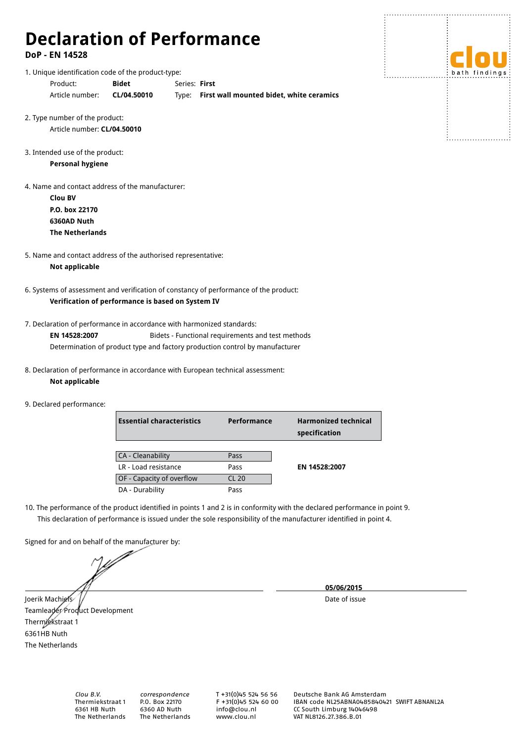# **Declaration of Performance**

## **DoP - EN 14528**

1. Unique identification code of the product-type:

Product: **Bidet** Series: **First** 

Article number: **CL/04.50010** Type: **First wall mounted bidet, white ceramics**

2. Type number of the product:

Article number: **CL/04.50010**

3. Intended use of the product:

**Personal hygiene**

4. Name and contact address of the manufacturer:

- **Clou BV P.O. box 22170 6360AD Nuth The Netherlands**
- 5. Name and contact address of the authorised representative:

**Not applicable**

6. Systems of assessment and verification of constancy of performance of the product: **Verification of performance is based on System IV**

7. Declaration of performance in accordance with harmonized standards:

**EN 14528:2007** Bidets - Functional requirements and test methods Determination of product type and factory production control by manufacturer

- 8. Declaration of performance in accordance with European technical assessment: **Not applicable**
- 9. Declared performance:

| <b>Essential characteristics</b> | Performance | <b>Harmonized technical</b><br>specification |
|----------------------------------|-------------|----------------------------------------------|
|                                  |             |                                              |
| CA - Cleanability                | Pass        |                                              |
| LR - Load resistance             | Pass        | EN 14528:2007                                |
| <b>OF</b> - Capacity of overflow | CL20        |                                              |
| DA - Durability                  | Pass        |                                              |

10. The performance of the product identified in points 1 and 2 is in conformity with the declared performance in point 9. This declaration of performance is issued under the sole responsibility of the manufacturer identified in point 4.

Signed for and on behalf of the manufacturer by:

**05/06/2015** 

Joerik Machiels / / Teamleader Product Development Thermiekstraat 1 6361HB Nuth The Netherlands

*Clou B.V.* Thermiekstraat 1 6361 HB Nuth The Netherlands

*correspondence* P.O. Box 22170 6360 AD Nuth The Netherlands T +31(0)45 524 56 56 F +31(0)45 524 60 00 info@clou.nl www.clou.nl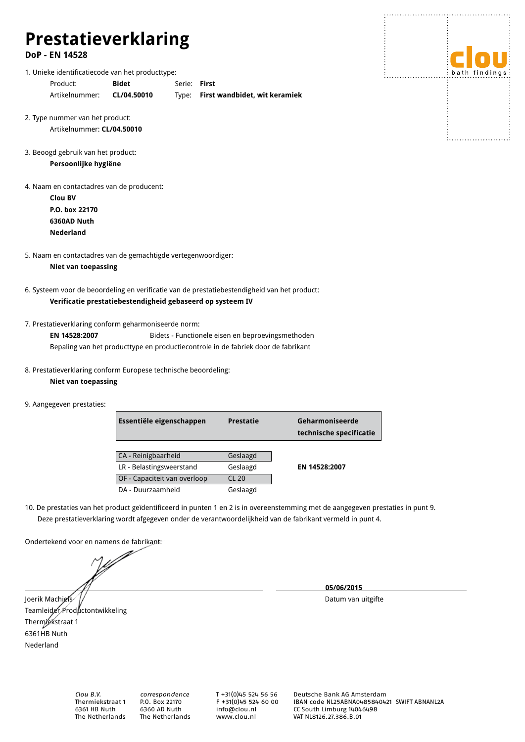# **Prestatieverklaring**

### **DoP - EN 14528**

1. Unieke identificatiecode van het producttype:

| Product:       | <b>Bidet</b> | Serie: <b>First</b> |                                     |
|----------------|--------------|---------------------|-------------------------------------|
| Artikelnummer: | CL/04.50010  |                     | Type: First wandbidet, wit keramiek |

2. Type nummer van het product:

Artikelnummer: **CL/04.50010**

3. Beoogd gebruik van het product:

**Persoonlijke hygiëne**

4. Naam en contactadres van de producent:

**Clou BV P.O. box 22170 6360AD Nuth Nederland**

5. Naam en contactadres van de gemachtigde vertegenwoordiger:

**Niet van toepassing**

6. Systeem voor de beoordeling en verificatie van de prestatiebestendigheid van het product: **Verificatie prestatiebestendigheid gebaseerd op systeem IV**

7. Prestatieverklaring conform geharmoniseerde norm:

**EN 14528:2007** Bidets - Functionele eisen en beproevingsmethoden Bepaling van het producttype en productiecontrole in de fabriek door de fabrikant

8. Prestatieverklaring conform Europese technische beoordeling:

#### **Niet van toepassing**

9. Aangegeven prestaties:

| Essentiële eigenschappen     | <b>Prestatie</b> | Geharmoniseerde<br>technische specificatie |
|------------------------------|------------------|--------------------------------------------|
|                              |                  |                                            |
| CA - Reinigbaarheid          | Geslaagd         |                                            |
| LR - Belastingsweerstand     | Geslaagd         | EN 14528:2007                              |
| OF - Capaciteit van overloop | C120             |                                            |
| DA - Duurzaamheid            | Geslaagd         |                                            |

10. De prestaties van het product geïdentificeerd in punten 1 en 2 is in overeenstemming met de aangegeven prestaties in punt 9. Deze prestatieverklaring wordt afgegeven onder de verantwoordelijkheid van de fabrikant vermeld in punt 4.

Ondertekend voor en namens de fabrikant:

**05/06/2015** 

Joerik Machiels /// **State Datum van uitgifte** Teamleider Productontwikkeling Thermiekstraat 1 6361HB Nuth Nederland



*Clou B.V.* Thermiekstraat 1 6361 HB Nuth The Netherlands

*correspondence* P.O. Box 22170 6360 AD Nuth The Netherlands T +31(0)45 524 56 56 F +31(0)45 524 60 00 info@clou.nl www.clou.nl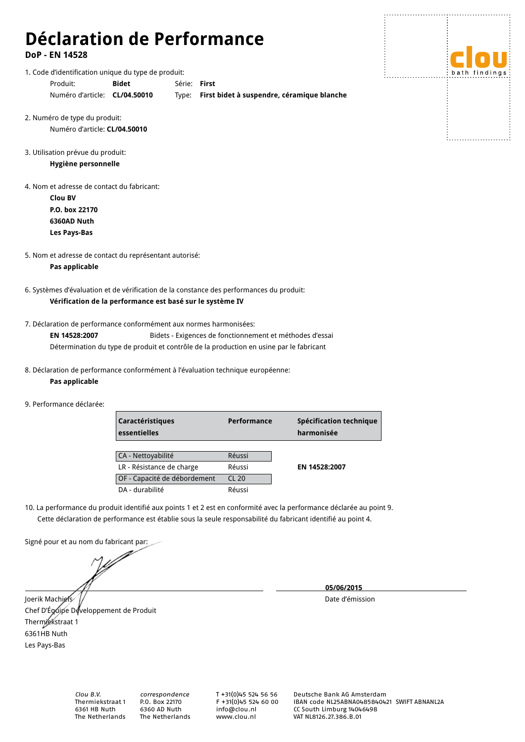# **Déclaration de Performance**

## **DoP - EN 14528**

1. Code d'identification unique du type de produit:

Produit: **Bidet** Série: **First**

Numéro d'article: **CL/04.50010** Type: **First bidet à suspendre, céramique blanche**

2. Numéro de type du produit:

Numéro d'article: **CL/04.50010**

3. Utilisation prévue du produit: **Hygiène personnelle**

4. Nom et adresse de contact du fabricant:

**Clou BV P.O. box 22170 6360AD Nuth Les Pays-Bas**

5. Nom et adresse de contact du représentant autorisé:

**Pas applicable**

6. Systèmes d'évaluation et de vérification de la constance des performances du produit: **Vérification de la performance est basé sur le système IV**

7. Déclaration de performance conformément aux normes harmonisées:

**EN 14528:2007** Bidets - Exigences de fonctionnement et méthodes d'essai Détermination du type de produit et contrôle de la production en usine par le fabricant

8. Déclaration de performance conformément à l'évaluation technique européenne:

## **Pas applicable**

9. Performance déclarée:

| <b>Caractéristiques</b><br>essentielles | Performance | Spécification technique<br>harmonisée |
|-----------------------------------------|-------------|---------------------------------------|
|                                         |             |                                       |
| CA - Nettoyabilité                      | Réussi      |                                       |
| LR - Résistance de charge               | Réussi      | EN 14528:2007                         |
| OF - Capacité de débordement            | CL20        |                                       |
| DA - durabilité                         | Réussi      |                                       |

10. La performance du produit identifié aux points 1 et 2 est en conformité avec la performance déclarée au point 9. Cette déclaration de performance est établie sous la seule responsabilité du fabricant identifié au point 4.

Signé pour et au nom du fabricant par:

**05/06/2015** 

Joerik Machiels Date d'émission

Chef D'Équipe Développement de Produit Thermiekstraat 1 6361HB Nuth Les Pays-Bas

*Clou B.V.* Thermiekstraat 1 6361 HB Nuth The Netherlands

*correspondence* P.O. Box 22170 6360 AD Nuth The Netherlands T +31(0)45 524 56 56 F +31(0)45 524 60 00 info@clou.nl www.clou.nl